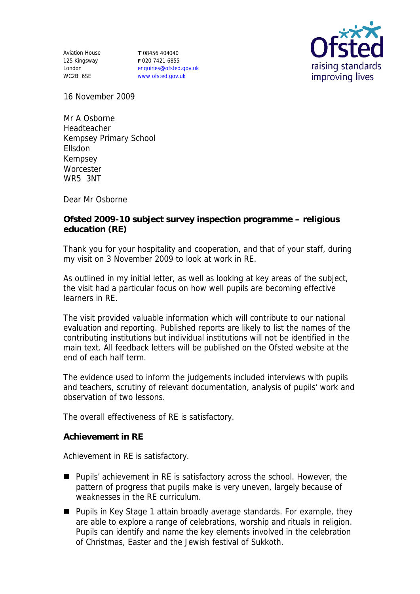Aviation House 125 Kingsway London WC2B 6SE

**T** 08456 404040 **F** 020 7421 6855 enquiries@ofsted.gov.uk www.ofsted.gov.uk



16 November 2009

Mr A Osborne Headteacher Kempsey Primary School Ellsdon Kempsey **Worcester** WR5 3NT

Dear Mr Osborne

**Ofsted 2009-10 subject survey inspection programme – religious education (RE)**

Thank you for your hospitality and cooperation, and that of your staff, during my visit on 3 November 2009 to look at work in RE.

As outlined in my initial letter, as well as looking at key areas of the subject, the visit had a particular focus on how well pupils are becoming effective learners in RE.

The visit provided valuable information which will contribute to our national evaluation and reporting. Published reports are likely to list the names of the contributing institutions but individual institutions will not be identified in the main text. All feedback letters will be published on the Ofsted website at the end of each half term.

The evidence used to inform the judgements included interviews with pupils and teachers, scrutiny of relevant documentation, analysis of pupils' work and observation of two lessons.

The overall effectiveness of RE is satisfactory.

**Achievement in RE** 

Achievement in RE is satisfactory.

- Pupils' achievement in RE is satisfactory across the school. However, the pattern of progress that pupils make is very uneven, largely because of weaknesses in the RE curriculum.
- Pupils in Key Stage 1 attain broadly average standards. For example, they are able to explore a range of celebrations, worship and rituals in religion. Pupils can identify and name the key elements involved in the celebration of Christmas, Easter and the Jewish festival of Sukkoth.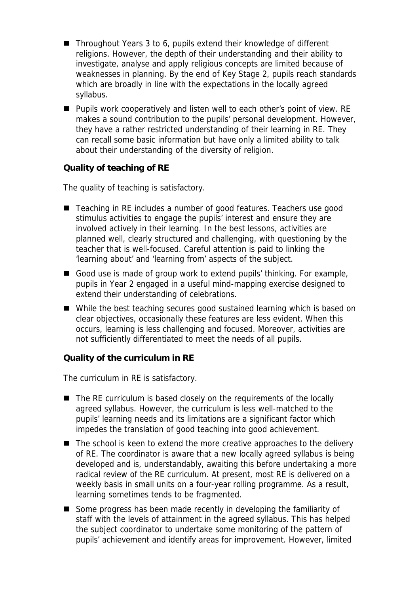- Throughout Years 3 to 6, pupils extend their knowledge of different religions. However, the depth of their understanding and their ability to investigate, analyse and apply religious concepts are limited because of weaknesses in planning. By the end of Key Stage 2, pupils reach standards which are broadly in line with the expectations in the locally agreed syllabus.
- Pupils work cooperatively and listen well to each other's point of view. RE makes a sound contribution to the pupils' personal development. However, they have a rather restricted understanding of their learning in RE. They can recall some basic information but have only a limited ability to talk about their understanding of the diversity of religion.

**Quality of teaching of RE** 

The quality of teaching is satisfactory.

- Teaching in RE includes a number of good features. Teachers use good stimulus activities to engage the pupils' interest and ensure they are involved actively in their learning. In the best lessons, activities are planned well, clearly structured and challenging, with questioning by the teacher that is well-focused. Careful attention is paid to linking the 'learning about' and 'learning from' aspects of the subject.
- Good use is made of group work to extend pupils' thinking. For example, pupils in Year 2 engaged in a useful mind-mapping exercise designed to extend their understanding of celebrations.
- While the best teaching secures good sustained learning which is based on clear objectives, occasionally these features are less evident. When this occurs, learning is less challenging and focused. Moreover, activities are not sufficiently differentiated to meet the needs of all pupils.

**Quality of the curriculum in RE** 

The curriculum in RE is satisfactory.

- The RE curriculum is based closely on the requirements of the locally agreed syllabus. However, the curriculum is less well-matched to the pupils' learning needs and its limitations are a significant factor which impedes the translation of good teaching into good achievement.
- $\blacksquare$  The school is keen to extend the more creative approaches to the delivery of RE. The coordinator is aware that a new locally agreed syllabus is being developed and is, understandably, awaiting this before undertaking a more radical review of the RE curriculum. At present, most RE is delivered on a weekly basis in small units on a four-year rolling programme. As a result, learning sometimes tends to be fragmented.
- Some progress has been made recently in developing the familiarity of staff with the levels of attainment in the agreed syllabus. This has helped the subject coordinator to undertake some monitoring of the pattern of pupils' achievement and identify areas for improvement. However, limited